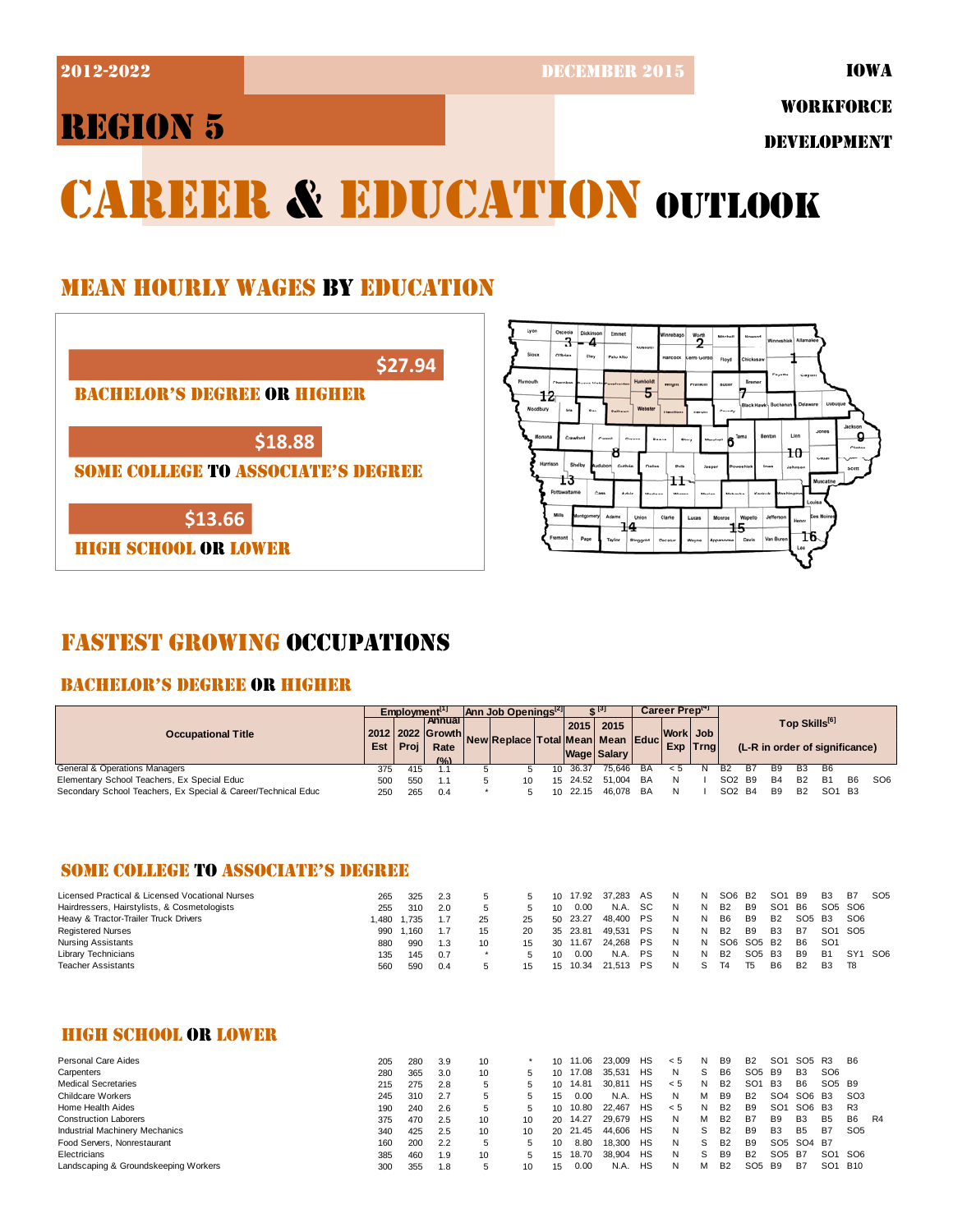2012-2022 DECEMBER 2015

IOWA

## REGION 5

WORKFORCE

DEVELOPMENT

# CAREER & EDUCATION OUTLOOK

## MEAN HOURLY WAGES BY EDUCATION

| \$27.94                                   |
|-------------------------------------------|
| <b>BACHELOR'S DEGREE OR HIGHER</b>        |
|                                           |
| \$18.88                                   |
| <b>SOME COLLEGE TO ASSOCIATE'S DEGREE</b> |
|                                           |
| \$13.66                                   |
| IGH SCHOOL OR LOWER                       |



## FASTEST GROWING OCCUPATIONS

## BACHELOR'S DEGREE OR HIGHER

|                                                               | Emplovment <sup>[1]</sup> |      | lann Job Openings <sup>14</sup>                  |  | $e^{i}$                                |  |       | Career Preptal             |    |                       |  |                                |           |            |                           |                                |           |                 |
|---------------------------------------------------------------|---------------------------|------|--------------------------------------------------|--|----------------------------------------|--|-------|----------------------------|----|-----------------------|--|--------------------------------|-----------|------------|---------------------------|--------------------------------|-----------|-----------------|
| <b>Occupational Title</b>                                     | Est                       | Proi | l Annual I<br>2012 2022 Growth.<br>Rate<br>(9/2) |  | New Replace   Total Mean   Mean   Educ |  | 2015  | 2015<br><b>Wage Salary</b> |    | Work Job<br>Exp Trnal |  |                                |           |            | Top Skills <sup>[6]</sup> | (L-R in order of significance) |           |                 |
| General & Operations Managers                                 | 375                       | 415  |                                                  |  |                                        |  | 36.37 | 75.646                     | BA |                       |  | <b>B2</b>                      | <b>B7</b> | <b>B</b> 9 | B <sub>3</sub>            | B6                             |           |                 |
| Elementary School Teachers, Ex Special Educ                   | <b>500</b>                | 550  | 1.1                                              |  | 10                                     |  |       | 15 24.52 51.004            | BA |                       |  | SO <sub>2</sub> B <sub>9</sub> |           | <b>B4</b>  | <b>B2</b>                 | <b>B1</b>                      | <b>B6</b> | SO <sub>6</sub> |
| Secondary School Teachers, Ex Special & Career/Technical Educ | <b>250</b>                | 265  | 0.4                                              |  |                                        |  | 22.15 | 46.078                     | BA |                       |  | SO <sub>2</sub> B <sub>4</sub> |           | <b>B</b> 9 | <b>B2</b>                 | SO <sub>1</sub> B <sub>3</sub> |           |                 |

## SOME COLLEGE TO ASSOCIATE'S DEGREE

| Licensed Practical & Licensed Vocational Nurses | 265  | 325   | 2.3 |    |    | 10  | 17.92 | 37.283       | AS        | N. | N | SO6 B2         |        | SO <sub>1</sub> | B9                             | B <sub>3</sub> | <b>B7</b>       | SO <sub>5</sub> |
|-------------------------------------------------|------|-------|-----|----|----|-----|-------|--------------|-----------|----|---|----------------|--------|-----------------|--------------------------------|----------------|-----------------|-----------------|
| Hairdressers, Hairstylists, & Cosmetologists    | 255  | 310   | 2.0 |    |    | 10  | 0.00  | N.A.         | <b>SC</b> | N  |   | B <sub>2</sub> | B9     | SO <sub>1</sub> | B6                             | SO5 SO6        |                 |                 |
| Heavy & Tractor-Trailer Truck Drivers           | .480 | 1.735 | 1.7 | 25 | 25 | 50  | 23.27 | 48.400       | PS        | N. |   | B <sub>6</sub> | B9     | B2              | SO <sub>5</sub> B <sub>3</sub> |                | SO <sub>6</sub> |                 |
| <b>Registered Nurses</b>                        | 990  | 1.160 | 1.7 | 15 | 20 | 35  | 23.81 | 49.531       | <b>PS</b> | N. |   | B <sub>2</sub> | B9     | B3              | <b>B7</b>                      | SO1 SO5        |                 |                 |
| <b>Nursing Assistants</b>                       | 880  | 990   | 1.3 | 10 | 15 | -30 | 11.67 | 24.268       | PS        | N  | N | SO6 SO5 B2     |        |                 | B <sub>6</sub>                 | SO1            |                 |                 |
| Library Technicians                             | 135  | 145   | 0.7 |    | 5. | 10  | 0.00  | N.A.         | PS        | N  |   | B <sub>2</sub> | SO5 B3 |                 | B <sub>9</sub>                 | <b>B1</b>      | SY1 SO6         |                 |
| <b>Teacher Assistants</b>                       | 560  | 590   | 0.4 |    | 15 | 15  |       | 10.34 21.513 | <b>PS</b> | N. |   | T4             | T5     | <b>B6</b>       | <b>B2</b>                      | <b>B3</b>      | - T8            |                 |

## HIGH SCHOOL OR LOWER

| Personal Care Aides                   | 205 | 280 | 3.9 | 10           |    |    | 11.06    | 23,009 | HS | < 5 | N  | B9             | B <sub>2</sub>  | SO <sub>1</sub> | SO <sub>5</sub>                                | R3                             | B6              |
|---------------------------------------|-----|-----|-----|--------------|----|----|----------|--------|----|-----|----|----------------|-----------------|-----------------|------------------------------------------------|--------------------------------|-----------------|
| Carpenters                            | 280 | 365 | 3.0 | 10           |    |    | 17.08    | 35.531 | HS | N   | S  | B6             | SO5 B9          |                 | B <sub>3</sub>                                 | SO <sub>6</sub>                |                 |
| <b>Medical Secretaries</b>            | 215 | 275 | 2.8 | 5            |    | 10 | 14.81    | 30.811 | HS | < 5 | N  | B <sub>2</sub> | SO <sub>1</sub> | <b>B3</b>       | B <sub>6</sub>                                 | SO <sub>5</sub> B <sub>9</sub> |                 |
| <b>Childcare Workers</b>              | 245 | 310 | 2.7 |              |    | 15 | 0.00     | N.A.   | HS | N   | м  | B <sub>9</sub> | B <sub>2</sub>  | SO <sub>4</sub> | SO6                                            | <b>B3</b>                      | SO <sub>3</sub> |
| Home Health Aides                     | 190 | 240 | 2.6 | 5            |    | 10 | 10.80    | 22.467 | HS | < 5 | N  | B <sub>2</sub> | B9              | SO <sub>1</sub> | SO <sub>6</sub>                                | <b>B3</b>                      | R3              |
| <b>Construction Laborers</b>          | 375 | 470 | 2.5 | 10           | 10 | 20 | 14.27    | 29.679 | HS | N.  | м  | <b>B2</b>      | B7              | B <sub>9</sub>  | B <sub>3</sub>                                 | B <sub>5</sub>                 | B6<br>R4        |
| <b>Industrial Machinery Mechanics</b> | 340 | 425 | 2.5 | 10           | 10 |    | 20 21.45 | 44.606 | HS | N.  | S. | B <sub>2</sub> | B9              | B <sub>3</sub>  | <b>B5</b>                                      | B7                             | SO <sub>5</sub> |
| Food Servers, Nonrestaurant           | 160 | 200 | 2.2 | 5            |    |    | 8.80     | 18,300 | HS | N.  | S. | B <sub>2</sub> | B <sub>9</sub>  |                 | SO <sub>5</sub> SO <sub>4</sub> B <sub>7</sub> |                                |                 |
| Electricians                          | 385 | 460 | 1.9 | 10           |    | 15 | 18.70    | 38.904 | HS | N   | S  | B9             | B <sub>2</sub>  | SO5             | <b>B7</b>                                      | SO1                            | SO6             |
| Landscaping & Groundskeeping Workers  | 300 | 355 | 8.ا | $\mathbf{p}$ | 10 | 15 | 0.00     | N.A.   | HS | N   | м  | B2             | SO <sub>5</sub> | <b>B9</b>       | B7                                             | SO1                            | <b>B10</b>      |